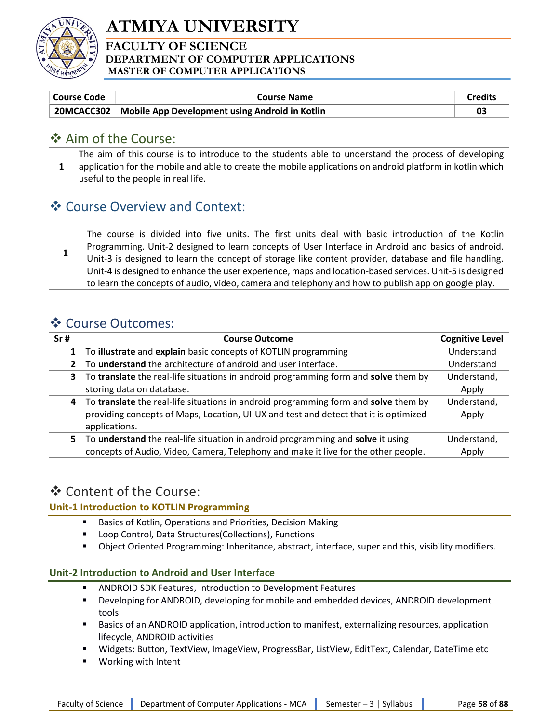

# ATMIYA UNIVERSITY

#### FACULTY OF SCIENCE DEPARTMENT OF COMPUTER APPLICATIONS MASTER OF COMPUTER APPLICATIONS

| Course Code | Course Name                                                 | Credits |
|-------------|-------------------------------------------------------------|---------|
|             | 20MCACC302   Mobile App Development using Android in Kotlin |         |

### ❖ Aim of the Course:

1 The aim of this course is to introduce to the students able to understand the process of developing application for the mobile and able to create the mobile applications on android platform in kotlin which useful to the people in real life.

## Course Overview and Context:

1 The course is divided into five units. The first units deal with basic introduction of the Kotlin Programming. Unit-2 designed to learn concepts of User Interface in Android and basics of android. Unit-3 is designed to learn the concept of storage like content provider, database and file handling. Unit-4 is designed to enhance the user experience, maps and location-based services. Unit-5 is designed to learn the concepts of audio, video, camera and telephony and how to publish app on google play.

## ❖ Course Outcomes:

| Sr# | <b>Course Outcome</b>                                                                                                                                                                        | <b>Cognitive Level</b> |
|-----|----------------------------------------------------------------------------------------------------------------------------------------------------------------------------------------------|------------------------|
|     | To illustrate and explain basic concepts of KOTLIN programming                                                                                                                               | Understand             |
|     | To understand the architecture of android and user interface.                                                                                                                                | Understand             |
| 3.  | To translate the real-life situations in android programming form and solve them by                                                                                                          | Understand,            |
|     | storing data on database.                                                                                                                                                                    | Apply                  |
| 4   | To translate the real-life situations in android programming form and solve them by<br>providing concepts of Maps, Location, UI-UX and test and detect that it is optimized<br>applications. | Understand,<br>Apply   |
| 5.  | To understand the real-life situation in android programming and solve it using<br>concepts of Audio, Video, Camera, Telephony and make it live for the other people.                        | Understand,<br>Apply   |

### Content of the Course:

#### Unit-1 Introduction to KOTLIN Programming

- Basics of Kotlin, Operations and Priorities, Decision Making
- Loop Control, Data Structures(Collections), Functions
- Object Oriented Programming: Inheritance, abstract, interface, super and this, visibility modifiers.

#### Unit-2 Introduction to Android and User Interface

- ANDROID SDK Features, Introduction to Development Features
- Developing for ANDROID, developing for mobile and embedded devices, ANDROID development tools
- Basics of an ANDROID application, introduction to manifest, externalizing resources, application lifecycle, ANDROID activities
- Widgets: Button, TextView, ImageView, ProgressBar, ListView, EditText, Calendar, DateTime etc
- Working with Intent